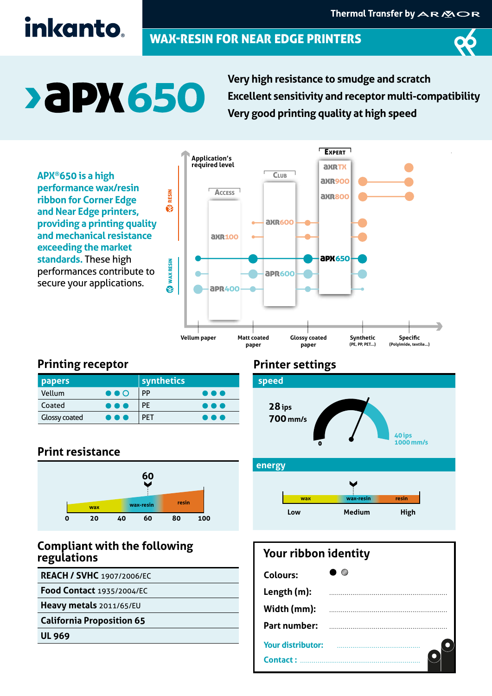## inkanto.

### WAX-RESIN FOR NEAR EDGE PRINTERS



# **>aPX650**

**Very high resistance to smudge and scratch Excellent sensitivity and receptor multi-compatibility Very good printing quality at high speed** 

**APX®650 is a high performance wax/resin ribbon for Corner Edge and Near Edge printers, providing a printing quality and mechanical resistance exceeding the market standards.** These high performances contribute to secure your applications.



#### **Printing receptor**

| <b>papers</b>        |                         | synthetics |                         |
|----------------------|-------------------------|------------|-------------------------|
| Vellum               | $\bullet\bullet\circ$   | PP         | $\bullet\bullet\bullet$ |
| Coated               | $\bullet\bullet\bullet$ | <b>PE</b>  | .                       |
| <b>Glossy coated</b> | $\bullet\bullet\bullet$ | <b>PFT</b> | .                       |

#### **Print resistance**



#### **Compliant with the following regulations**

**REACH / SVHC** 1907/2006/EC

**Food Contact** 1935/2004/EC

**Heavy metals** 2011/65/EU

**California Proposition 65**

**UL 969**

#### **Printer settings**



#### **energy**



#### **Your ribbon identity**